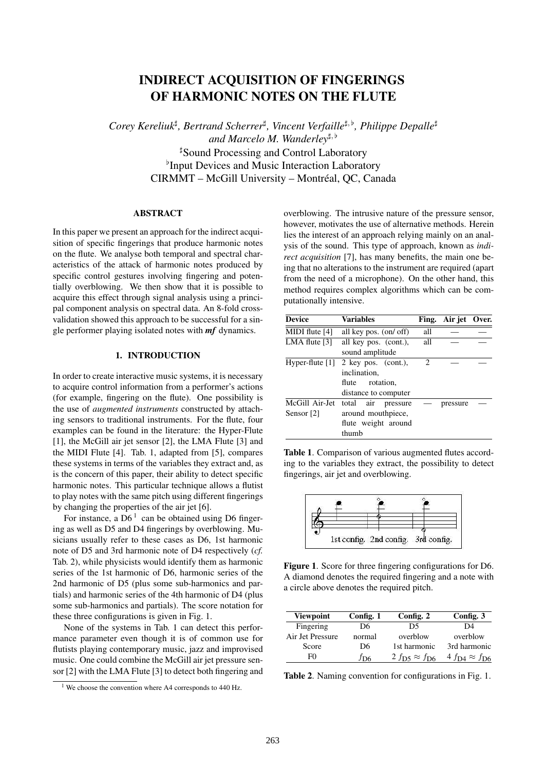# INDIRECT ACQUISITION OF FINGERINGS OF HARMONIC NOTES ON THE FLUTE

Corey Kereliuk<sup>#</sup>, Bertrand Scherrer<sup>#</sup>, Vincent Verfaille<sup>#, b</sup>, Philippe Depalle<sup>#</sup> and Marcelo M. Wanderley<sup>#, b</sup> ] Sound Processing and Control Laboratory <sup>b</sup>Input Devices and Music Interaction Laboratory CIRMMT – McGill University – Montréal, QC, Canada

### ABSTRACT

In this paper we present an approach for the indirect acquisition of specific fingerings that produce harmonic notes on the flute. We analyse both temporal and spectral characteristics of the attack of harmonic notes produced by specific control gestures involving fingering and potentially overblowing. We then show that it is possible to acquire this effect through signal analysis using a principal component analysis on spectral data. An 8-fold crossvalidation showed this approach to be successful for a single performer playing isolated notes with *mf* dynamics.

# 1. INTRODUCTION

In order to create interactive music systems, it is necessary to acquire control information from a performer's actions (for example, fingering on the flute). One possibility is the use of *augmented instruments* constructed by attaching sensors to traditional instruments. For the flute, four examples can be found in the literature: the Hyper-Flute [1], the McGill air jet sensor [2], the LMA Flute [3] and the MIDI Flute [4]. Tab. 1, adapted from [5], compares these systems in terms of the variables they extract and, as is the concern of this paper, their ability to detect specific harmonic notes. This particular technique allows a flutist to play notes with the same pitch using different fingerings by changing the properties of the air jet [6].

For instance, a  $D6<sup>1</sup>$  can be obtained using D6 fingering as well as D5 and D4 fingerings by overblowing. Musicians usually refer to these cases as D6, 1st harmonic note of D5 and 3rd harmonic note of D4 respectively (*cf.* Tab. 2), while physicists would identify them as harmonic series of the 1st harmonic of D6, harmonic series of the 2nd harmonic of D5 (plus some sub-harmonics and partials) and harmonic series of the 4th harmonic of D4 (plus some sub-harmonics and partials). The score notation for these three configurations is given in Fig. 1.

None of the systems in Tab. 1 can detect this performance parameter even though it is of common use for flutists playing contemporary music, jazz and improvised music. One could combine the McGill air jet pressure sensor [2] with the LMA Flute [3] to detect both fingering and overblowing. The intrusive nature of the pressure sensor, however, motivates the use of alternative methods. Herein lies the interest of an approach relying mainly on an analysis of the sound. This type of approach, known as *indirect acquisition* [7], has many benefits, the main one being that no alterations to the instrument are required (apart from the need of a microphone). On the other hand, this method requires complex algorithms which can be computationally intensive.

| <b>Device</b>         | <b>Variables</b>         | Fing. | Air jet Over. |  |
|-----------------------|--------------------------|-------|---------------|--|
| MIDI flute [4]        | all key pos. (on/ off)   | all   |               |  |
| LMA flute $[3]$       | all key pos. (cont.),    | all   |               |  |
|                       | sound amplitude          |       |               |  |
| Hyper-flute $[1]$     | 2 key pos. $(cont.)$ ,   | 2     |               |  |
|                       | inclination,             |       |               |  |
|                       | rotation.<br>flute       |       |               |  |
|                       | distance to computer     |       |               |  |
| McGill Air-Jet        | total<br>air<br>pressure |       | pressure      |  |
| Sensor <sup>[2]</sup> | around mouthpiece,       |       |               |  |
|                       | flute weight around      |       |               |  |
|                       | thumb                    |       |               |  |

Table 1. Comparison of various augmented flutes according to the variables they extract, the possibility to detect fingerings, air jet and overblowing.



Figure 1. Score for three fingering configurations for D6. A diamond denotes the required fingering and a note with a circle above denotes the required pitch.

| <b>Viewpoint</b> | Config. 1    | Config. 2            | Config. 3                               |
|------------------|--------------|----------------------|-----------------------------------------|
| Fingering        | D6           | D5                   | D4                                      |
| Air Jet Pressure | normal       | overblow             | overblow                                |
| Score            | D6           | 1st harmonic         | 3rd harmonic                            |
| F٥               | $f_{\rm DG}$ | 2 fps $\approx f$ p6 | $4 f_{\text{D}4} \approx f_{\text{D}6}$ |

Table 2. Naming convention for configurations in Fig. 1.

<sup>&</sup>lt;sup>1</sup> We choose the convention where A4 corresponds to 440 Hz.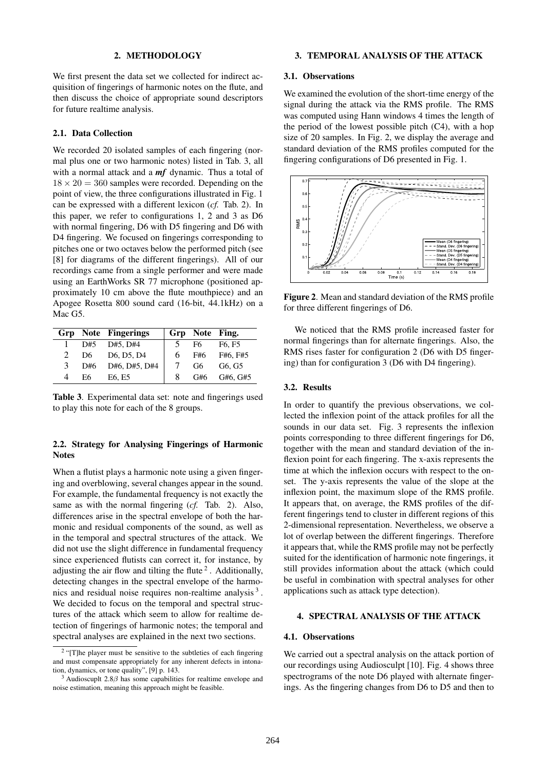#### 2. METHODOLOGY

We first present the data set we collected for indirect acquisition of fingerings of harmonic notes on the flute, and then discuss the choice of appropriate sound descriptors for future realtime analysis.

#### 2.1. Data Collection

We recorded 20 isolated samples of each fingering (normal plus one or two harmonic notes) listed in Tab. 3, all with a normal attack and a *mf* dynamic. Thus a total of  $18 \times 20 = 360$  samples were recorded. Depending on the point of view, the three configurations illustrated in Fig. 1 can be expressed with a different lexicon (*cf.* Tab. 2). In this paper, we refer to configurations 1, 2 and 3 as D6 with normal fingering, D6 with D5 fingering and D6 with D4 fingering. We focused on fingerings corresponding to pitches one or two octaves below the performed pitch (see [8] for diagrams of the different fingerings). All of our recordings came from a single performer and were made using an EarthWorks SR 77 microphone (positioned approximately 10 cm above the flute mouthpiece) and an Apogee Rosetta 800 sound card (16-bit, 44.1kHz) on a Mac G5.

|               |     | <b>Grp</b> Note Fingerings |   | Grp Note Fing. |                                 |
|---------------|-----|----------------------------|---|----------------|---------------------------------|
| 1             | D#5 | D#5, D#4                   |   | F6             | F <sub>6</sub> . F <sub>5</sub> |
| $\mathcal{L}$ | D6. | D6, D5, D4                 | 6 | F#6            | F#6, F#5                        |
| 3             | D#6 | D#6, D#5, D#4              |   | G6             | G6. G5                          |
| 4             | E6. | E6. E5                     | 8 | G#6            | G#6, G#5                        |

Table 3. Experimental data set: note and fingerings used to play this note for each of the 8 groups.

# 2.2. Strategy for Analysing Fingerings of Harmonic Notes

When a flutist plays a harmonic note using a given fingering and overblowing, several changes appear in the sound. For example, the fundamental frequency is not exactly the same as with the normal fingering (*cf.* Tab. 2). Also, differences arise in the spectral envelope of both the harmonic and residual components of the sound, as well as in the temporal and spectral structures of the attack. We did not use the slight difference in fundamental frequency since experienced flutists can correct it, for instance, by adjusting the air flow and tilting the flute<sup>2</sup>. Additionally, detecting changes in the spectral envelope of the harmonics and residual noise requires non-realtime analysis<sup>3</sup>. We decided to focus on the temporal and spectral structures of the attack which seem to allow for realtime detection of fingerings of harmonic notes; the temporal and spectral analyses are explained in the next two sections.

# 3. TEMPORAL ANALYSIS OF THE ATTACK

#### 3.1. Observations

We examined the evolution of the short-time energy of the signal during the attack via the RMS profile. The RMS was computed using Hann windows 4 times the length of the period of the lowest possible pitch (C4), with a hop size of 20 samples. In Fig. 2, we display the average and standard deviation of the RMS profiles computed for the fingering configurations of D6 presented in Fig. 1.



Figure 2. Mean and standard deviation of the RMS profile for three different fingerings of D6.

We noticed that the RMS profile increased faster for normal fingerings than for alternate fingerings. Also, the RMS rises faster for configuration 2 (D6 with D5 fingering) than for configuration 3 (D6 with D4 fingering).

# 3.2. Results

In order to quantify the previous observations, we collected the inflexion point of the attack profiles for all the sounds in our data set. Fig. 3 represents the inflexion points corresponding to three different fingerings for D6, together with the mean and standard deviation of the inflexion point for each fingering. The x-axis represents the time at which the inflexion occurs with respect to the onset. The y-axis represents the value of the slope at the inflexion point, the maximum slope of the RMS profile. It appears that, on average, the RMS profiles of the different fingerings tend to cluster in different regions of this 2-dimensional representation. Nevertheless, we observe a lot of overlap between the different fingerings. Therefore it appears that, while the RMS profile may not be perfectly suited for the identification of harmonic note fingerings, it still provides information about the attack (which could be useful in combination with spectral analyses for other applications such as attack type detection).

## 4. SPECTRAL ANALYSIS OF THE ATTACK

# 4.1. Observations

We carried out a spectral analysis on the attack portion of our recordings using Audiosculpt [10]. Fig. 4 shows three spectrograms of the note D6 played with alternate fingerings. As the fingering changes from D6 to D5 and then to

<sup>&</sup>lt;sup>2</sup> "[T]he player must be sensitive to the subtleties of each fingering and must compensate appropriately for any inherent defects in intonation, dynamics, or tone quality", [9] p. 143.

<sup>&</sup>lt;sup>3</sup> Audioscuplt 2.8 $\beta$  has some capabilities for realtime envelope and noise estimation, meaning this approach might be feasible.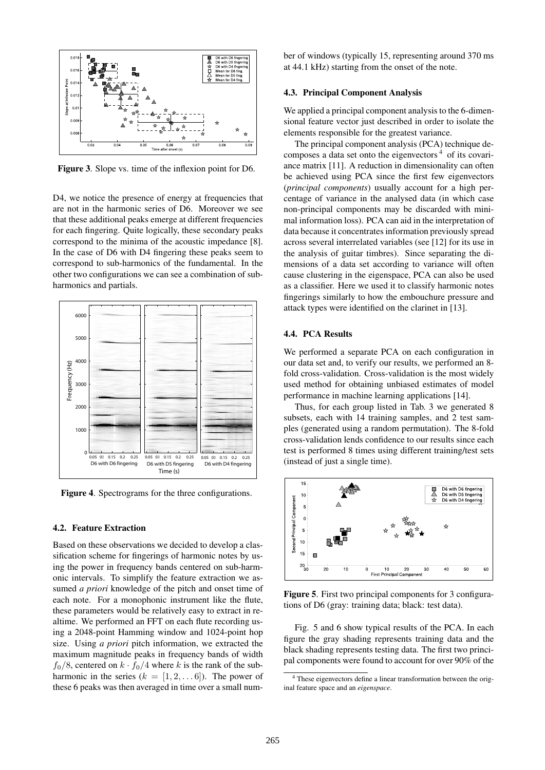

Figure 3. Slope vs. time of the inflexion point for D6.

D4, we notice the presence of energy at frequencies that are not in the harmonic series of D6. Moreover we see that these additional peaks emerge at different frequencies for each fingering. Quite logically, these secondary peaks correspond to the minima of the acoustic impedance [8]. In the case of D6 with D4 fingering these peaks seem to correspond to sub-harmonics of the fundamental. In the other two configurations we can see a combination of subharmonics and partials.



Figure 4. Spectrograms for the three configurations.

### 4.2. Feature Extraction

Based on these observations we decided to develop a classification scheme for fingerings of harmonic notes by using the power in frequency bands centered on sub-harmonic intervals. To simplify the feature extraction we assumed *a priori* knowledge of the pitch and onset time of each note. For a monophonic instrument like the flute, these parameters would be relatively easy to extract in realtime. We performed an FFT on each flute recording using a 2048-point Hamming window and 1024-point hop size. Using *a priori* pitch information, we extracted the maximum magnitude peaks in frequency bands of width  $f<sub>0</sub>/8$ , centered on  $k \cdot f<sub>0</sub>/4$  where k is the rank of the subharmonic in the series  $(k = [1, 2, \ldots 6])$ . The power of these 6 peaks was then averaged in time over a small number of windows (typically 15, representing around 370 ms at 44.1 kHz) starting from the onset of the note.

### 4.3. Principal Component Analysis

We applied a principal component analysis to the 6-dimensional feature vector just described in order to isolate the elements responsible for the greatest variance.

The principal component analysis (PCA) technique decomposes a data set onto the eigenvectors <sup>4</sup> of its covariance matrix [11]. A reduction in dimensionality can often be achieved using PCA since the first few eigenvectors (*principal components*) usually account for a high percentage of variance in the analysed data (in which case non-principal components may be discarded with minimal information loss). PCA can aid in the interpretation of data because it concentrates information previously spread across several interrelated variables (see [12] for its use in the analysis of guitar timbres). Since separating the dimensions of a data set according to variance will often cause clustering in the eigenspace, PCA can also be used as a classifier. Here we used it to classify harmonic notes fingerings similarly to how the embouchure pressure and attack types were identified on the clarinet in [13].

# 4.4. PCA Results

We performed a separate PCA on each configuration in our data set and, to verify our results, we performed an 8 fold cross-validation. Cross-validation is the most widely used method for obtaining unbiased estimates of model performance in machine learning applications [14].

Thus, for each group listed in Tab. 3 we generated 8 subsets, each with 14 training samples, and 2 test samples (generated using a random permutation). The 8-fold cross-validation lends confidence to our results since each test is performed 8 times using different training/test sets (instead of just a single time).



Figure 5. First two principal components for 3 configurations of D6 (gray: training data; black: test data).

Fig. 5 and 6 show typical results of the PCA. In each figure the gray shading represents training data and the black shading represents testing data. The first two principal components were found to account for over 90% of the

<sup>4</sup> These eigenvectors define a linear transformation between the original feature space and an *eigenspace*.